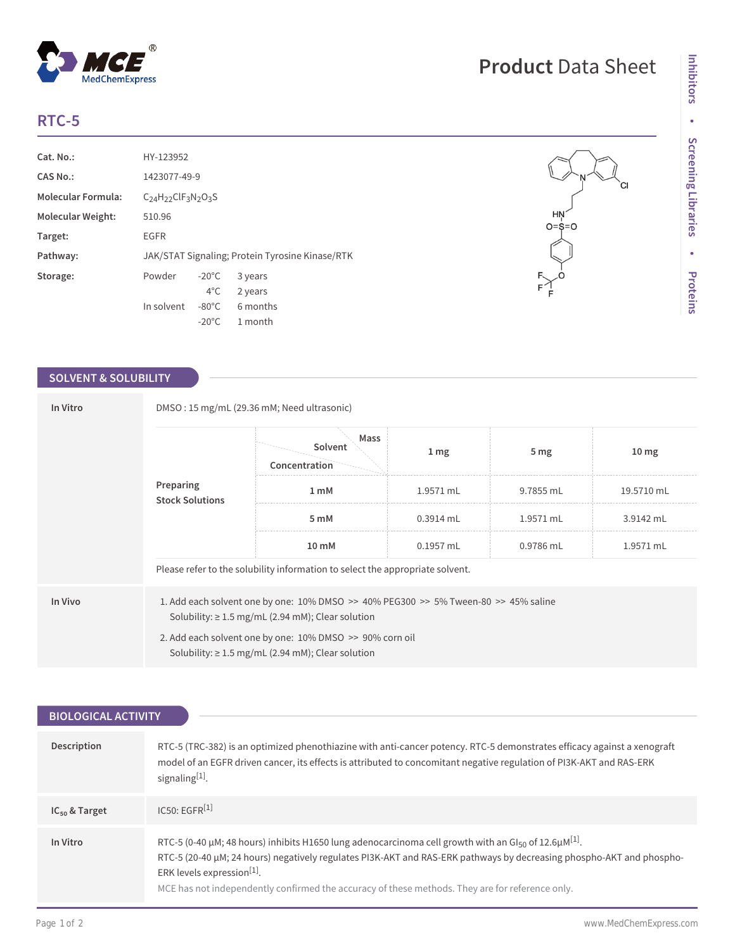## **RTC-5**

| Cat. No.:                 | HY-123952         |                 |                                                 |
|---------------------------|-------------------|-----------------|-------------------------------------------------|
| CAS No.:                  | 1423077-49-9      |                 |                                                 |
| <b>Molecular Formula:</b> | $C24H22ClF3N2O3S$ |                 |                                                 |
| Molecular Weight:         | 510.96            |                 |                                                 |
| Target:                   | EGFR              |                 |                                                 |
| Pathway:                  |                   |                 | JAK/STAT Signaling; Protein Tyrosine Kinase/RTK |
| Storage:                  | Powder            | $-20^{\circ}$ C | 3 years                                         |
|                           |                   | $4^{\circ}$ C   | 2 years                                         |
|                           | In solvent        | $-80^{\circ}$ C | 6 months                                        |
|                           |                   | $-20^{\circ}$ C | 1 month                                         |

 $^{\circledR}$ 

MedChemExpress

## **SOLVENT & SOLUBILITY**

| In Vitro | DMSO: 15 mg/mL (29.36 mM; Need ultrasonic) |                                                                                                                                                                                                                                                                                    |                  |                 |                  |  |
|----------|--------------------------------------------|------------------------------------------------------------------------------------------------------------------------------------------------------------------------------------------------------------------------------------------------------------------------------------|------------------|-----------------|------------------|--|
|          |                                            | Mass<br>Solvent<br>Concentration                                                                                                                                                                                                                                                   | $1 \, \text{mg}$ | 5 <sub>mg</sub> | 10 <sub>mg</sub> |  |
|          | Preparing<br><b>Stock Solutions</b>        | 1 <sub>m</sub> M                                                                                                                                                                                                                                                                   | 1.9571 mL        | 9.7855 mL       | 19.5710 mL       |  |
|          |                                            | 5 mM                                                                                                                                                                                                                                                                               | $0.3914$ mL      | $1.9571$ mL     | 3.9142 mL        |  |
|          |                                            | 10 mM                                                                                                                                                                                                                                                                              | $0.1957$ mL      | 0.9786 mL       | 1.9571 mL        |  |
|          |                                            | Please refer to the solubility information to select the appropriate solvent.                                                                                                                                                                                                      |                  |                 |                  |  |
| In Vivo  |                                            | 1. Add each solvent one by one: $10\%$ DMSO $\geq$ 40% PEG300 $\geq$ 5% Tween-80 $\geq$ 45% saline<br>Solubility: $\geq 1.5$ mg/mL (2.94 mM); Clear solution<br>2. Add each solvent one by one: 10% DMSO >> 90% corn oil<br>Solubility: $\geq 1.5$ mg/mL (2.94 mM); Clear solution |                  |                 |                  |  |

| <b>BIOLOGICAL ACTIVITY</b> |                                                                                                                                                                                                                                                                                                                                                                                                   |
|----------------------------|---------------------------------------------------------------------------------------------------------------------------------------------------------------------------------------------------------------------------------------------------------------------------------------------------------------------------------------------------------------------------------------------------|
|                            |                                                                                                                                                                                                                                                                                                                                                                                                   |
| <b>Description</b>         | RTC-5 (TRC-382) is an optimized phenothiazine with anti-cancer potency. RTC-5 demonstrates efficacy against a xenograft<br>model of an EGFR driven cancer, its effects is attributed to concomitant negative regulation of PI3K-AKT and RAS-ERK<br>signaling[1].                                                                                                                                  |
| $IC_{50}$ & Target         | IC50: EGFR <sup>[1]</sup>                                                                                                                                                                                                                                                                                                                                                                         |
| In Vitro                   | RTC-5 (0-40 µM; 48 hours) inhibits H1650 lung adenocarcinoma cell growth with an GI <sub>50</sub> of 12.6µM <sup>[1]</sup> .<br>RTC-5 (20-40 µM; 24 hours) negatively regulates PI3K-AKT and RAS-ERK pathways by decreasing phospho-AKT and phospho-<br>ERK levels expression <sup>[1]</sup> .<br>MCE has not independently confirmed the accuracy of these methods. They are for reference only. |

## **Product** Data Sheet

 $\mathsf{H}_{\mathsf{N}}^{\mathsf{H}}$ -0=9

CI